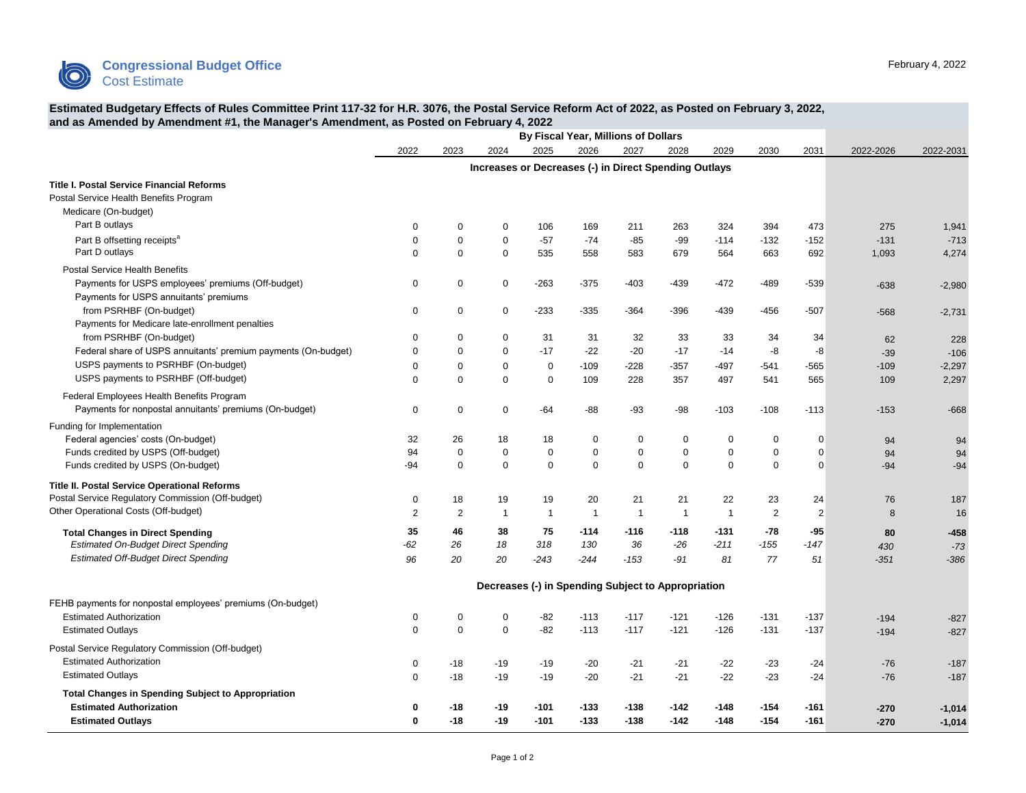

## **Estimated Budgetary Effects of Rules Committee Print 117-32 for H.R. 3076, the Postal Service Reform Act of 2022, as Posted on February 3, 2022, and as Amended by Amendment #1, the Manager's Amendment, as Posted on February 4, 2022**

| $m$ anagor o $m$ monamone,                                                                  | By Fiscal Year, Millions of Dollars                   |                                                    |                |                |                |                |                |                |                |                |           |           |
|---------------------------------------------------------------------------------------------|-------------------------------------------------------|----------------------------------------------------|----------------|----------------|----------------|----------------|----------------|----------------|----------------|----------------|-----------|-----------|
|                                                                                             | 2022                                                  | 2023                                               | 2024           | 2025           | 2026           | 2027           | 2028           | 2029           | 2030           | 2031           | 2022-2026 | 2022-2031 |
|                                                                                             | Increases or Decreases (-) in Direct Spending Outlays |                                                    |                |                |                |                |                |                |                |                |           |           |
| <b>Title I. Postal Service Financial Reforms</b><br>Postal Service Health Benefits Program  |                                                       |                                                    |                |                |                |                |                |                |                |                |           |           |
| Medicare (On-budget)                                                                        |                                                       |                                                    |                |                |                |                |                |                |                |                |           |           |
| Part B outlays                                                                              | $\mathbf 0$                                           | $\mathbf 0$                                        | $\mathbf 0$    | 106            | 169            | 211            | 263            | 324            | 394            | 473            | 275       | 1,941     |
| Part B offsetting receipts <sup>a</sup>                                                     | $\mathbf 0$                                           | $\mathsf 0$                                        | $\mathbf 0$    | $-57$          | $-74$          | $-85$          | $-99$          | $-114$         | $-132$         | $-152$         | $-131$    | $-713$    |
| Part D outlays                                                                              | $\mathbf 0$                                           | $\mathbf 0$                                        | $\mathbf 0$    | 535            | 558            | 583            | 679            | 564            | 663            | 692            | 1,093     | 4,274     |
| <b>Postal Service Health Benefits</b>                                                       |                                                       |                                                    |                |                |                |                |                |                |                |                |           |           |
| Payments for USPS employees' premiums (Off-budget)                                          | 0                                                     | $\boldsymbol{0}$                                   | $\mathbf 0$    | $-263$         | $-375$         | $-403$         | $-439$         | -472           | $-489$         | $-539$         | $-638$    | $-2,980$  |
| Payments for USPS annuitants' premiums                                                      |                                                       |                                                    |                |                |                |                |                |                |                |                |           |           |
| from PSRHBF (On-budget)                                                                     | $\mathbf 0$                                           | $\mathbf 0$                                        | $\mathbf 0$    | $-233$         | $-335$         | $-364$         | $-396$         | -439           | $-456$         | $-507$         | $-568$    | $-2,731$  |
| Payments for Medicare late-enrollment penalties                                             |                                                       |                                                    |                |                |                |                |                |                |                |                |           |           |
| from PSRHBF (On-budget)                                                                     | $\mathbf 0$                                           | $\mathbf 0$                                        | $\mathbf 0$    | 31             | 31             | 32             | 33             | 33             | 34             | 34             | 62        | 228       |
| Federal share of USPS annuitants' premium payments (On-budget)                              | $\Omega$                                              | $\mathbf 0$                                        | $\Omega$       | $-17$          | $-22$          | $-20$          | $-17$          | $-14$          | -8             | -8             | $-39$     | $-106$    |
| USPS payments to PSRHBF (On-budget)                                                         | $\Omega$                                              | $\mathbf 0$                                        | $\mathbf 0$    | $\mathbf 0$    | -109           | $-228$         | $-357$         | -497           | -541           | -565           | $-109$    | $-2,297$  |
| USPS payments to PSRHBF (Off-budget)                                                        | $\Omega$                                              | $\Omega$                                           | $\Omega$       | $\Omega$       | 109            | 228            | 357            | 497            | 541            | 565            | 109       | 2,297     |
| Federal Employees Health Benefits Program                                                   |                                                       |                                                    |                |                |                |                |                |                |                |                |           |           |
| Payments for nonpostal annuitants' premiums (On-budget)                                     | $\mathbf 0$                                           | $\mathbf 0$                                        | $\mathbf 0$    | $-64$          | $-88$          | $-93$          | $-98$          | $-103$         | $-108$         | $-113$         | $-153$    | $-668$    |
|                                                                                             |                                                       |                                                    |                |                |                |                |                |                |                |                |           |           |
| Funding for Implementation                                                                  |                                                       |                                                    |                |                |                |                |                |                |                |                |           |           |
| Federal agencies' costs (On-budget)                                                         | 32                                                    | 26                                                 | 18             | 18             | 0              | $\pmb{0}$      | $\mathbf 0$    | 0              | $\mathbf 0$    | $\Omega$       | 94        | 94        |
| Funds credited by USPS (Off-budget)                                                         | 94                                                    | $\boldsymbol{0}$                                   | $\mathbf 0$    | $\mathbf 0$    | 0              | $\pmb{0}$      | $\mathbf 0$    | $\mathbf 0$    | $\mathbf 0$    | $\mathbf 0$    | 94        | 94        |
| Funds credited by USPS (On-budget)                                                          | $-94$                                                 | $\mathbf 0$                                        | $\mathbf 0$    | $\mathbf 0$    | 0              | $\mathbf 0$    | $\Omega$       | $\mathbf 0$    | $\mathbf 0$    | $\Omega$       | $-94$     | $-94$     |
| Title II. Postal Service Operational Reforms                                                |                                                       |                                                    |                |                |                |                |                |                |                |                |           |           |
| Postal Service Regulatory Commission (Off-budget)                                           | 0                                                     | 18                                                 | 19             | 19             | 20             | 21             | 21             | 22             | 23             | 24             | 76        | 187       |
| Other Operational Costs (Off-budget)                                                        | 2                                                     | $\overline{2}$                                     | $\overline{1}$ | $\overline{1}$ | $\overline{1}$ | $\overline{1}$ | $\overline{1}$ | $\overline{1}$ | $\overline{2}$ | $\overline{2}$ | 8         | 16        |
| <b>Total Changes in Direct Spending</b>                                                     | 35                                                    | 46                                                 | 38             | 75             | $-114$         | $-116$         | $-118$         | $-131$         | -78            | $-95$          | 80        | $-458$    |
| <b>Estimated On-Budget Direct Spending</b>                                                  | $-62$                                                 | 26                                                 | 18             | 318            | 130            | 36             | $-26$          | $-211$         | $-155$         | $-147$         | 430       | $-73$     |
| <b>Estimated Off-Budget Direct Spending</b>                                                 | 96                                                    | 20                                                 | 20             | $-243$         | $-244$         | $-153$         | $-91$          | 81             | 77             | 51             | $-351$    | $-386$    |
|                                                                                             |                                                       |                                                    |                |                |                |                |                |                |                |                |           |           |
|                                                                                             |                                                       | Decreases (-) in Spending Subject to Appropriation |                |                |                |                |                |                |                |                |           |           |
| FEHB payments for nonpostal employees' premiums (On-budget)                                 |                                                       |                                                    |                |                |                |                |                |                |                |                |           |           |
| <b>Estimated Authorization</b>                                                              | 0                                                     | 0                                                  | $\Omega$       | $-82$          | $-113$         | $-117$         | $-121$         | $-126$         | $-131$         | $-137$         | $-194$    | $-827$    |
| <b>Estimated Outlays</b>                                                                    | $\mathbf 0$                                           | $\boldsymbol{0}$                                   | $\mathbf 0$    | $-82$          | $-113$         | $-117$         | $-121$         | $-126$         | $-131$         | $-137$         | $-194$    | $-827$    |
| Postal Service Regulatory Commission (Off-budget)                                           |                                                       |                                                    |                |                |                |                |                |                |                |                |           |           |
| <b>Estimated Authorization</b>                                                              | 0                                                     | $-18$                                              | $-19$          | $-19$          | $-20$          | $-21$          | $-21$          | $-22$          | $-23$          | $-24$          | $-76$     | $-187$    |
| <b>Estimated Outlays</b>                                                                    | $\mathbf 0$                                           | $-18$                                              | $-19$          | $-19$          | $-20$          | $-21$          | $-21$          | $-22$          | $-23$          | $-24$          | $-76$     | $-187$    |
|                                                                                             |                                                       |                                                    |                |                |                |                |                |                |                |                |           |           |
| <b>Total Changes in Spending Subject to Appropriation</b><br><b>Estimated Authorization</b> | $\mathbf 0$                                           |                                                    |                | $-101$         |                | $-138$         | -142           | $-148$         | $-154$         |                |           |           |
|                                                                                             | $\mathbf 0$                                           | -18                                                | -19            | $-101$         | -133<br>$-133$ |                | $-142$         |                | $-154$         | -161           | $-270$    | $-1,014$  |
| <b>Estimated Outlays</b>                                                                    |                                                       | $-18$                                              | -19            |                |                | $-138$         |                | $-148$         |                | $-161$         | $-270$    | $-1,014$  |